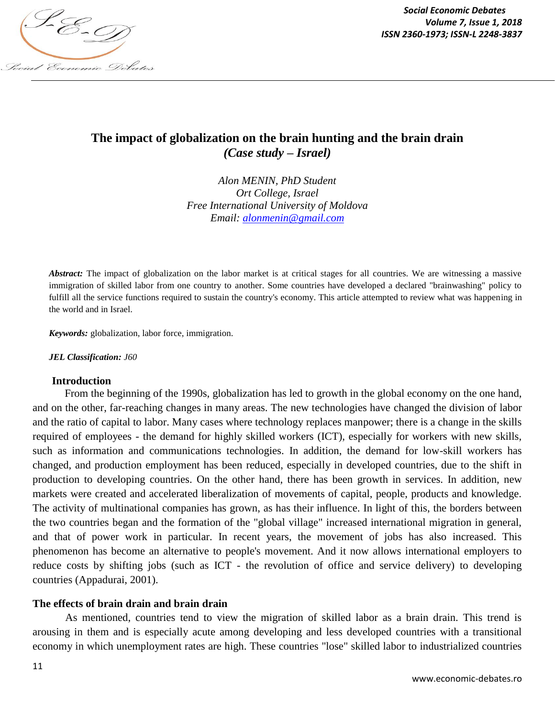

*Social Economic Debates Volume 7, Issue 1, 2018*

# **The impact of globalization on the brain hunting and the brain drain** *(Case study – Israel)*

*Alon MENIN, PhD Student Ort College, Israel Free International University of Moldova Email: alonmenin@gmail.com*

*Abstract:* The impact of globalization on the labor market is at critical stages for all countries. We are witnessing a massive immigration of skilled labor from one country to another. Some countries have developed a declared "brainwashing" policy to fulfill all the service functions required to sustain the country's economy. This article attempted to review what was happening in the world and in Israel.

*Keywords:* globalization, labor force, immigration.

*JEL Classification: J60*

#### **Introduction**

From the beginning of the 1990s, globalization has led to growth in the global economy on the one hand, and on the other, far-reaching changes in many areas. The new technologies have changed the division of labor and the ratio of capital to labor. Many cases where technology replaces manpower; there is a change in the skills required of employees - the demand for highly skilled workers (ICT), especially for workers with new skills, such as information and communications technologies. In addition, the demand for low-skill workers has changed, and production employment has been reduced, especially in developed countries, due to the shift in production to developing countries. On the other hand, there has been growth in services. In addition, new markets were created and accelerated liberalization of movements of capital, people, products and knowledge. The activity of multinational companies has grown, as has their influence. In light of this, the borders between the two countries began and the formation of the "global village" increased international migration in general, and that of power work in particular. In recent years, the movement of jobs has also increased. This phenomenon has become an alternative to people's movement. And it now allows international employers to reduce costs by shifting jobs (such as ICT - the revolution of office and service delivery) to developing countries (Appadurai, 2001).

#### **The effects of brain drain and brain drain**

As mentioned, countries tend to view the migration of skilled labor as a brain drain. This trend is arousing in them and is especially acute among developing and less developed countries with a transitional economy in which unemployment rates are high. These countries "lose" skilled labor to industrialized countries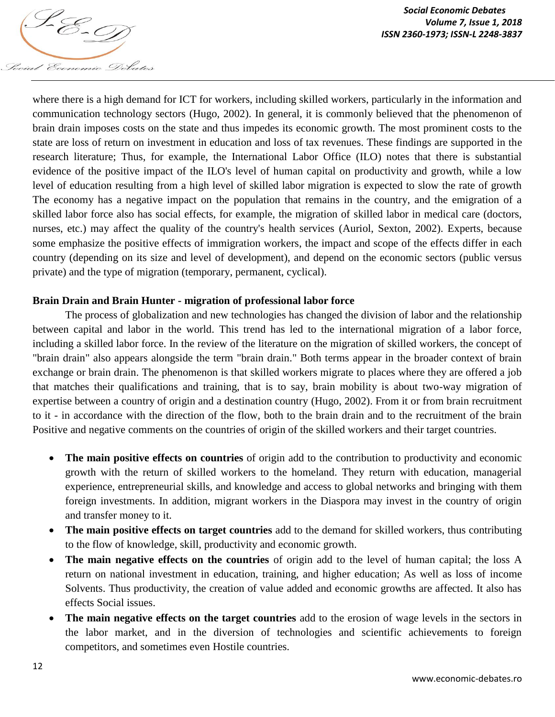

where there is a high demand for ICT for workers, including skilled workers, particularly in the information and communication technology sectors (Hugo, 2002). In general, it is commonly believed that the phenomenon of brain drain imposes costs on the state and thus impedes its economic growth. The most prominent costs to the state are loss of return on investment in education and loss of tax revenues. These findings are supported in the research literature; Thus, for example, the International Labor Office (ILO) notes that there is substantial evidence of the positive impact of the ILO's level of human capital on productivity and growth, while a low level of education resulting from a high level of skilled labor migration is expected to slow the rate of growth The economy has a negative impact on the population that remains in the country, and the emigration of a skilled labor force also has social effects, for example, the migration of skilled labor in medical care (doctors, nurses, etc.) may affect the quality of the country's health services (Auriol, Sexton, 2002). Experts, because some emphasize the positive effects of immigration workers, the impact and scope of the effects differ in each country (depending on its size and level of development), and depend on the economic sectors (public versus private) and the type of migration (temporary, permanent, cyclical).

### **Brain Drain and Brain Hunter - migration of professional labor force**

The process of globalization and new technologies has changed the division of labor and the relationship between capital and labor in the world. This trend has led to the international migration of a labor force, including a skilled labor force. In the review of the literature on the migration of skilled workers, the concept of "brain drain" also appears alongside the term "brain drain." Both terms appear in the broader context of brain exchange or brain drain. The phenomenon is that skilled workers migrate to places where they are offered a job that matches their qualifications and training, that is to say, brain mobility is about two-way migration of expertise between a country of origin and a destination country (Hugo, 2002). From it or from brain recruitment to it - in accordance with the direction of the flow, both to the brain drain and to the recruitment of the brain Positive and negative comments on the countries of origin of the skilled workers and their target countries.

- **The main positive effects on countries** of origin add to the contribution to productivity and economic growth with the return of skilled workers to the homeland. They return with education, managerial experience, entrepreneurial skills, and knowledge and access to global networks and bringing with them foreign investments. In addition, migrant workers in the Diaspora may invest in the country of origin and transfer money to it.
- **The main positive effects on target countries** add to the demand for skilled workers, thus contributing to the flow of knowledge, skill, productivity and economic growth.
- **The main negative effects on the countries** of origin add to the level of human capital; the loss A return on national investment in education, training, and higher education; As well as loss of income Solvents. Thus productivity, the creation of value added and economic growths are affected. It also has effects Social issues.
- **The main negative effects on the target countries** add to the erosion of wage levels in the sectors in the labor market, and in the diversion of technologies and scientific achievements to foreign competitors, and sometimes even Hostile countries.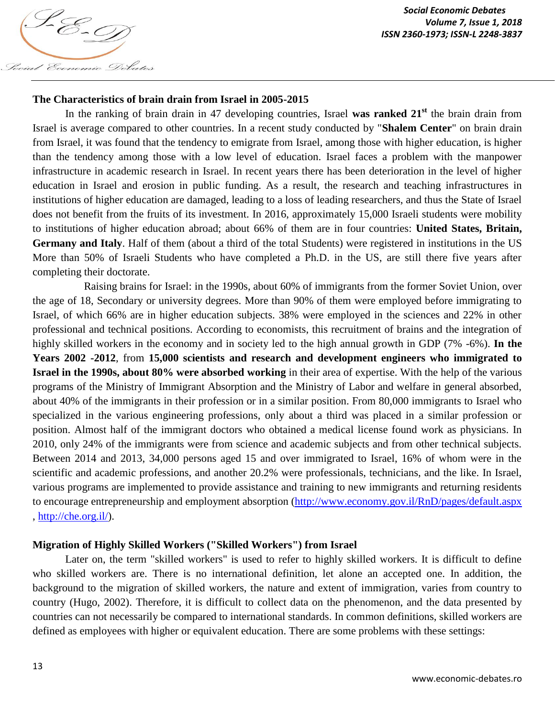

### **The Characteristics of brain drain from Israel in 2005-2015**

In the ranking of brain drain in 47 developing countries, Israel **was ranked 21st** the brain drain from Israel is average compared to other countries. In a recent study conducted by "**Shalem Center**" on brain drain from Israel, it was found that the tendency to emigrate from Israel, among those with higher education, is higher than the tendency among those with a low level of education. Israel faces a problem with the manpower infrastructure in academic research in Israel. In recent years there has been deterioration in the level of higher education in Israel and erosion in public funding. As a result, the research and teaching infrastructures in institutions of higher education are damaged, leading to a loss of leading researchers, and thus the State of Israel does not benefit from the fruits of its investment. In 2016, approximately 15,000 Israeli students were mobility to institutions of higher education abroad; about 66% of them are in four countries: **United States, Britain, Germany and Italy**. Half of them (about a third of the total Students) were registered in institutions in the US More than 50% of Israeli Students who have completed a Ph.D. in the US, are still there five years after completing their doctorate.

Raising brains for Israel: in the 1990s, about 60% of immigrants from the former Soviet Union, over the age of 18, Secondary or university degrees. More than 90% of them were employed before immigrating to Israel, of which 66% are in higher education subjects. 38% were employed in the sciences and 22% in other professional and technical positions. According to economists, this recruitment of brains and the integration of highly skilled workers in the economy and in society led to the high annual growth in GDP (7% -6%). **In the Years 2002 -2012**, from **15,000 scientists and research and development engineers who immigrated to Israel in the 1990s, about 80% were absorbed working** in their area of expertise. With the help of the various programs of the Ministry of Immigrant Absorption and the Ministry of Labor and welfare in general absorbed, about 40% of the immigrants in their profession or in a similar position. From 80,000 immigrants to Israel who specialized in the various engineering professions, only about a third was placed in a similar profession or position. Almost half of the immigrant doctors who obtained a medical license found work as physicians. In 2010, only 24% of the immigrants were from science and academic subjects and from other technical subjects. Between 2014 and 2013, 34,000 persons aged 15 and over immigrated to Israel, 16% of whom were in the scientific and academic professions, and another 20.2% were professionals, technicians, and the like. In Israel, various programs are implemented to provide assistance and training to new immigrants and returning residents to encourage entrepreneurship and employment absorption (http://www.economy.gov.il/RnD/pages/default.aspx , http://che.org.il/).

#### **Migration of Highly Skilled Workers ("Skilled Workers") from Israel**

Later on, the term "skilled workers" is used to refer to highly skilled workers. It is difficult to define who skilled workers are. There is no international definition, let alone an accepted one. In addition, the background to the migration of skilled workers, the nature and extent of immigration, varies from country to country (Hugo, 2002). Therefore, it is difficult to collect data on the phenomenon, and the data presented by countries can not necessarily be compared to international standards. In common definitions, skilled workers are defined as employees with higher or equivalent education. There are some problems with these settings: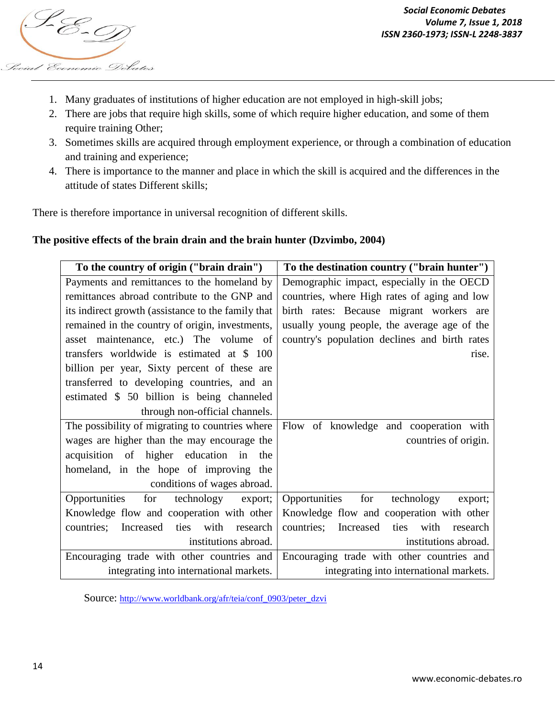

- 1. Many graduates of institutions of higher education are not employed in high-skill jobs;
- 2. There are jobs that require high skills, some of which require higher education, and some of them require training Other;
- 3. Sometimes skills are acquired through employment experience, or through a combination of education and training and experience;
- 4. There is importance to the manner and place in which the skill is acquired and the differences in the attitude of states Different skills;

There is therefore importance in universal recognition of different skills.

#### **The positive effects of the brain drain and the brain hunter (Dzvimbo, 2004)**

| To the country of origin ("brain drain")            | To the destination country ("brain hunter")         |
|-----------------------------------------------------|-----------------------------------------------------|
| Payments and remittances to the homeland by         | Demographic impact, especially in the OECD          |
| remittances abroad contribute to the GNP and        | countries, where High rates of aging and low        |
| its indirect growth (assistance to the family that  | birth rates: Because migrant workers are            |
| remained in the country of origin, investments,     | usually young people, the average age of the        |
| asset maintenance, etc.) The volume of              | country's population declines and birth rates       |
| transfers worldwide is estimated at \$ 100          | rise.                                               |
| billion per year, Sixty percent of these are        |                                                     |
| transferred to developing countries, and an         |                                                     |
| estimated \$ 50 billion is being channeled          |                                                     |
| through non-official channels.                      |                                                     |
| The possibility of migrating to countries where     | Flow of knowledge and cooperation with              |
| wages are higher than the may encourage the         | countries of origin.                                |
| acquisition of higher education in<br>the           |                                                     |
| homeland, in the hope of improving the              |                                                     |
| conditions of wages abroad.                         |                                                     |
| for technology<br>Opportunities<br>export;          | for<br>Opportunities<br>technology<br>export;       |
| Knowledge flow and cooperation with other           | Knowledge flow and cooperation with other           |
| with<br>countries;<br>Increased<br>ties<br>research | countries;<br>Increased<br>ties<br>with<br>research |
| institutions abroad.                                | institutions abroad.                                |
| Encouraging trade with other countries and          | Encouraging trade with other countries and          |
| integrating into international markets.             | integrating into international markets.             |

Source: http://www.worldbank.org/afr/teia/conf\_0903/peter\_dzvi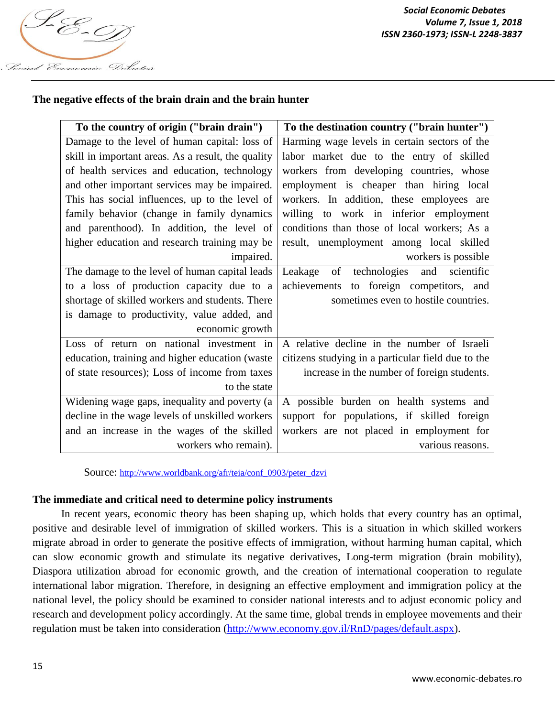

## **The negative effects of the brain drain and the brain hunter**

| To the country of origin ("brain drain")           | To the destination country ("brain hunter")        |
|----------------------------------------------------|----------------------------------------------------|
| Damage to the level of human capital: loss of      | Harming wage levels in certain sectors of the      |
| skill in important areas. As a result, the quality | labor market due to the entry of skilled           |
| of health services and education, technology       | workers from developing countries, whose           |
| and other important services may be impaired.      | employment is cheaper than hiring local            |
| This has social influences, up to the level of     | workers. In addition, these employees are          |
| family behavior (change in family dynamics         | willing to work in inferior employment             |
| and parenthood). In addition, the level of         | conditions than those of local workers; As a       |
| higher education and research training may be      | result, unemployment among local skilled           |
| impaired.                                          | workers is possible                                |
| The damage to the level of human capital leads     | of technologies<br>and scientific<br>Leakage       |
| to a loss of production capacity due to a          | to foreign competitors, and<br>achievements        |
| shortage of skilled workers and students. There    | sometimes even to hostile countries.               |
| is damage to productivity, value added, and        |                                                    |
| economic growth                                    |                                                    |
| Loss of return on national investment in           | A relative decline in the number of Israeli        |
| education, training and higher education (waster   | citizens studying in a particular field due to the |
| of state resources); Loss of income from taxes     | increase in the number of foreign students.        |
| to the state                                       |                                                    |
| Widening wage gaps, inequality and poverty (a      | A possible burden on health systems and            |
| decline in the wage levels of unskilled workers    | support for populations, if skilled foreign        |
| and an increase in the wages of the skilled        | workers are not placed in employment for           |
| workers who remain).                               | various reasons.                                   |

Source: http://www.worldbank.org/afr/teia/conf\_0903/peter\_dzvi

#### **The immediate and critical need to determine policy instruments**

In recent years, economic theory has been shaping up, which holds that every country has an optimal, positive and desirable level of immigration of skilled workers. This is a situation in which skilled workers migrate abroad in order to generate the positive effects of immigration, without harming human capital, which can slow economic growth and stimulate its negative derivatives, Long-term migration (brain mobility), Diaspora utilization abroad for economic growth, and the creation of international cooperation to regulate international labor migration. Therefore, in designing an effective employment and immigration policy at the national level, the policy should be examined to consider national interests and to adjust economic policy and research and development policy accordingly. At the same time, global trends in employee movements and their regulation must be taken into consideration (http://www.economy.gov.il/RnD/pages/default.aspx).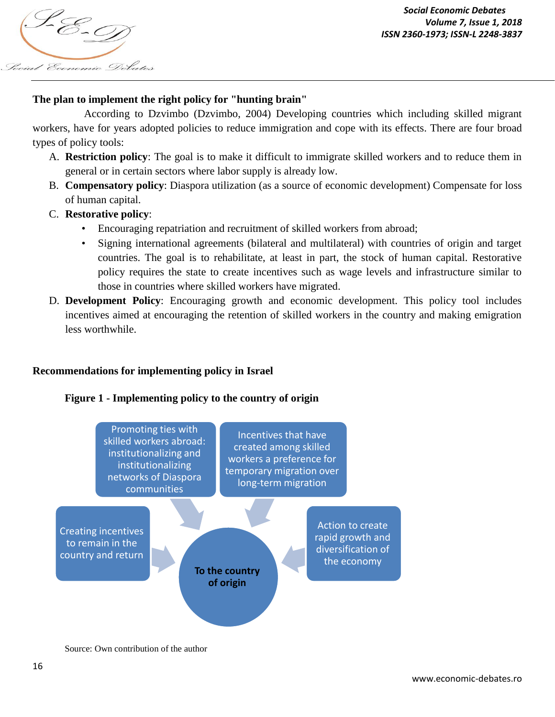

## **The plan to implement the right policy for "hunting brain"**

According to Dzvimbo (Dzvimbo, 2004) Developing countries which including skilled migrant workers, have for years adopted policies to reduce immigration and cope with its effects. There are four broad types of policy tools:

- A. **Restriction policy**: The goal is to make it difficult to immigrate skilled workers and to reduce them in general or in certain sectors where labor supply is already low.
- B. **Compensatory policy**: Diaspora utilization (as a source of economic development) Compensate for loss of human capital.
- C. **Restorative policy**:
	- Encouraging repatriation and recruitment of skilled workers from abroad;
	- Signing international agreements (bilateral and multilateral) with countries of origin and target countries. The goal is to rehabilitate, at least in part, the stock of human capital. Restorative policy requires the state to create incentives such as wage levels and infrastructure similar to those in countries where skilled workers have migrated.
- D. **Development Policy**: Encouraging growth and economic development. This policy tool includes incentives aimed at encouraging the retention of skilled workers in the country and making emigration less worthwhile.

### **Recommendations for implementing policy in Israel**

#### **Figure 1 - Implementing policy to the country of origin**



Source: Own contribution of the author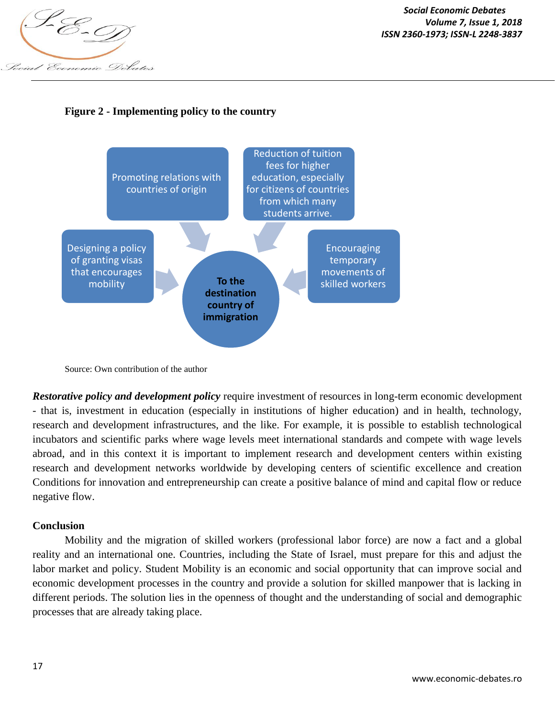

## **Figure 2 - Implementing policy to the country**



Source: Own contribution of the author

*Restorative policy and development policy* require investment of resources in long-term economic development - that is, investment in education (especially in institutions of higher education) and in health, technology, research and development infrastructures, and the like. For example, it is possible to establish technological incubators and scientific parks where wage levels meet international standards and compete with wage levels abroad, and in this context it is important to implement research and development centers within existing research and development networks worldwide by developing centers of scientific excellence and creation Conditions for innovation and entrepreneurship can create a positive balance of mind and capital flow or reduce negative flow.

#### **Conclusion**

Mobility and the migration of skilled workers (professional labor force) are now a fact and a global reality and an international one. Countries, including the State of Israel, must prepare for this and adjust the labor market and policy. Student Mobility is an economic and social opportunity that can improve social and economic development processes in the country and provide a solution for skilled manpower that is lacking in different periods. The solution lies in the openness of thought and the understanding of social and demographic processes that are already taking place.